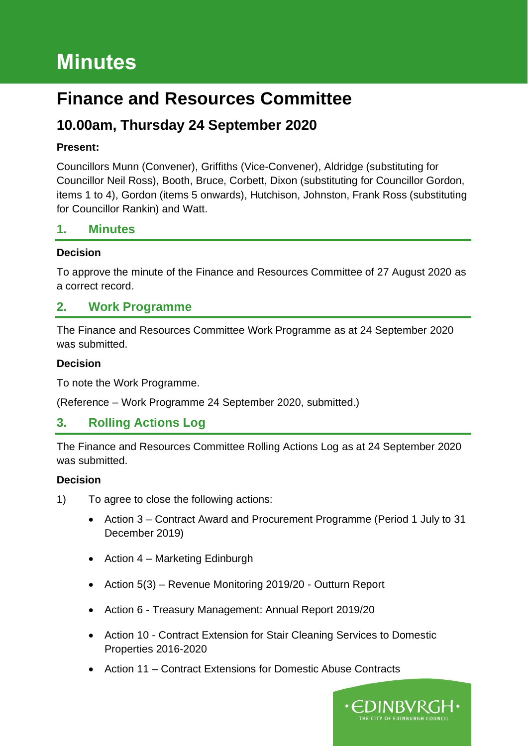# **Minutes**

# **Finance and Resources Committee**

# **10.00am, Thursday 24 September 2020**

#### **Present:**

Councillors Munn (Convener), Griffiths (Vice-Convener), Aldridge (substituting for Councillor Neil Ross), Booth, Bruce, Corbett, Dixon (substituting for Councillor Gordon, items 1 to 4), Gordon (items 5 onwards), Hutchison, Johnston, Frank Ross (substituting for Councillor Rankin) and Watt.

#### **1. Minutes**

#### **Decision**

To approve the minute of the Finance and Resources Committee of 27 August 2020 as a correct record.

### **2. Work Programme**

The Finance and Resources Committee Work Programme as at 24 September 2020 was submitted.

#### **Decision**

To note the Work Programme.

(Reference – Work Programme 24 September 2020, submitted.)

# **3. Rolling Actions Log**

The Finance and Resources Committee Rolling Actions Log as at 24 September 2020 was submitted.

#### **Decision**

- 1) To agree to close the following actions:
	- Action 3 Contract Award and Procurement Programme (Period 1 July to 31 December 2019)
	- Action 4 Marketing Edinburgh
	- Action 5(3) Revenue Monitoring 2019/20 Outturn Report
	- Action 6 Treasury Management: Annual Report 2019/20
	- Action 10 Contract Extension for Stair Cleaning Services to Domestic Properties 2016-2020
	- Action 11 Contract Extensions for Domestic Abuse Contracts

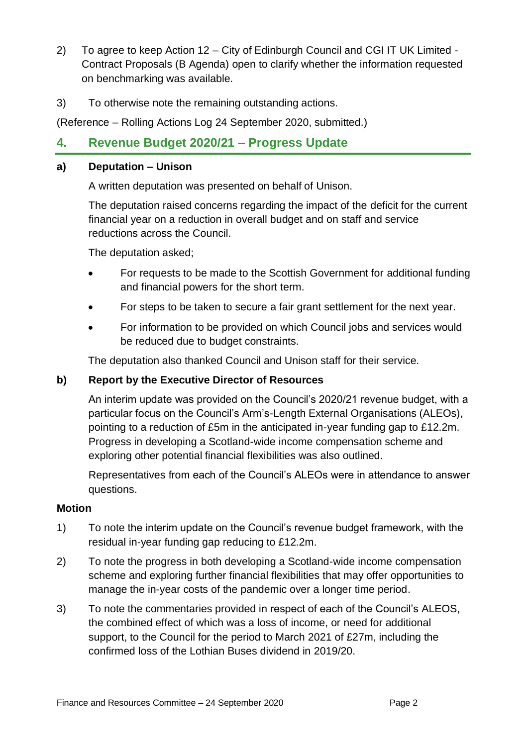- 2) To agree to keep Action 12 City of Edinburgh Council and CGI IT UK Limited Contract Proposals (B Agenda) open to clarify whether the information requested on benchmarking was available.
- 3) To otherwise note the remaining outstanding actions.

(Reference – Rolling Actions Log 24 September 2020, submitted.)

# **4. Revenue Budget 2020/21 – Progress Update**

#### **a) Deputation – Unison**

A written deputation was presented on behalf of Unison.

The deputation raised concerns regarding the impact of the deficit for the current financial year on a reduction in overall budget and on staff and service reductions across the Council.

The deputation asked;

- For requests to be made to the Scottish Government for additional funding and financial powers for the short term.
- For steps to be taken to secure a fair grant settlement for the next year.
- For information to be provided on which Council jobs and services would be reduced due to budget constraints.

The deputation also thanked Council and Unison staff for their service.

#### **b) Report by the Executive Director of Resources**

An interim update was provided on the Council's 2020/21 revenue budget, with a particular focus on the Council's Arm's-Length External Organisations (ALEOs), pointing to a reduction of £5m in the anticipated in-year funding gap to £12.2m. Progress in developing a Scotland-wide income compensation scheme and exploring other potential financial flexibilities was also outlined.

Representatives from each of the Council's ALEOs were in attendance to answer questions.

#### **Motion**

- 1) To note the interim update on the Council's revenue budget framework, with the residual in-year funding gap reducing to £12.2m.
- 2) To note the progress in both developing a Scotland-wide income compensation scheme and exploring further financial flexibilities that may offer opportunities to manage the in-year costs of the pandemic over a longer time period.
- 3) To note the commentaries provided in respect of each of the Council's ALEOS, the combined effect of which was a loss of income, or need for additional support, to the Council for the period to March 2021 of £27m, including the confirmed loss of the Lothian Buses dividend in 2019/20.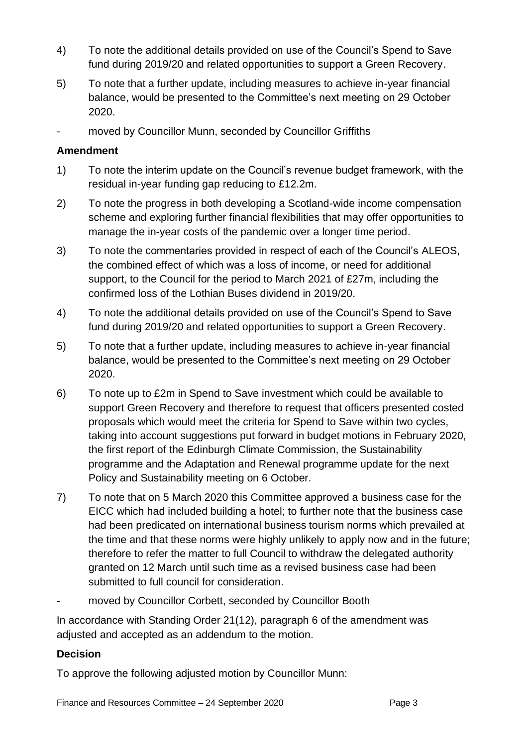- 4) To note the additional details provided on use of the Council's Spend to Save fund during 2019/20 and related opportunities to support a Green Recovery.
- 5) To note that a further update, including measures to achieve in-year financial balance, would be presented to the Committee's next meeting on 29 October 2020.
- moved by Councillor Munn, seconded by Councillor Griffiths

#### **Amendment**

- 1) To note the interim update on the Council's revenue budget framework, with the residual in-year funding gap reducing to £12.2m.
- 2) To note the progress in both developing a Scotland-wide income compensation scheme and exploring further financial flexibilities that may offer opportunities to manage the in-year costs of the pandemic over a longer time period.
- 3) To note the commentaries provided in respect of each of the Council's ALEOS, the combined effect of which was a loss of income, or need for additional support, to the Council for the period to March 2021 of £27m, including the confirmed loss of the Lothian Buses dividend in 2019/20.
- 4) To note the additional details provided on use of the Council's Spend to Save fund during 2019/20 and related opportunities to support a Green Recovery.
- 5) To note that a further update, including measures to achieve in-year financial balance, would be presented to the Committee's next meeting on 29 October 2020.
- 6) To note up to £2m in Spend to Save investment which could be available to support Green Recovery and therefore to request that officers presented costed proposals which would meet the criteria for Spend to Save within two cycles, taking into account suggestions put forward in budget motions in February 2020, the first report of the Edinburgh Climate Commission, the Sustainability programme and the Adaptation and Renewal programme update for the next Policy and Sustainability meeting on 6 October.
- 7) To note that on 5 March 2020 this Committee approved a business case for the EICC which had included building a hotel; to further note that the business case had been predicated on international business tourism norms which prevailed at the time and that these norms were highly unlikely to apply now and in the future; therefore to refer the matter to full Council to withdraw the delegated authority granted on 12 March until such time as a revised business case had been submitted to full council for consideration.
- moved by Councillor Corbett, seconded by Councillor Booth

In accordance with Standing Order 21(12), paragraph 6 of the amendment was adjusted and accepted as an addendum to the motion.

#### **Decision**

To approve the following adjusted motion by Councillor Munn: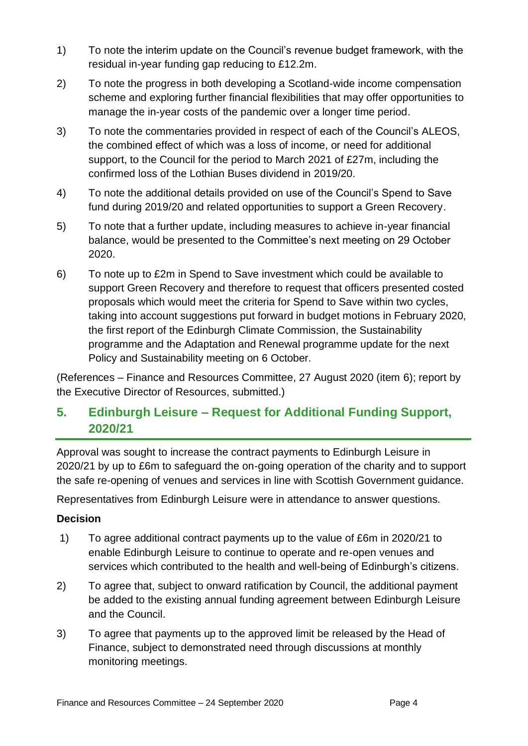- 1) To note the interim update on the Council's revenue budget framework, with the residual in-year funding gap reducing to £12.2m.
- 2) To note the progress in both developing a Scotland-wide income compensation scheme and exploring further financial flexibilities that may offer opportunities to manage the in-year costs of the pandemic over a longer time period.
- 3) To note the commentaries provided in respect of each of the Council's ALEOS, the combined effect of which was a loss of income, or need for additional support, to the Council for the period to March 2021 of £27m, including the confirmed loss of the Lothian Buses dividend in 2019/20.
- 4) To note the additional details provided on use of the Council's Spend to Save fund during 2019/20 and related opportunities to support a Green Recovery.
- 5) To note that a further update, including measures to achieve in-year financial balance, would be presented to the Committee's next meeting on 29 October 2020.
- 6) To note up to £2m in Spend to Save investment which could be available to support Green Recovery and therefore to request that officers presented costed proposals which would meet the criteria for Spend to Save within two cycles, taking into account suggestions put forward in budget motions in February 2020, the first report of the Edinburgh Climate Commission, the Sustainability programme and the Adaptation and Renewal programme update for the next Policy and Sustainability meeting on 6 October.

(References – Finance and Resources Committee, 27 August 2020 (item 6); report by the Executive Director of Resources, submitted.)

# **5. Edinburgh Leisure – Request for Additional Funding Support, 2020/21**

Approval was sought to increase the contract payments to Edinburgh Leisure in 2020/21 by up to £6m to safeguard the on-going operation of the charity and to support the safe re-opening of venues and services in line with Scottish Government guidance.

Representatives from Edinburgh Leisure were in attendance to answer questions.

#### **Decision**

- 1) To agree additional contract payments up to the value of £6m in 2020/21 to enable Edinburgh Leisure to continue to operate and re-open venues and services which contributed to the health and well-being of Edinburgh's citizens.
- 2) To agree that, subject to onward ratification by Council, the additional payment be added to the existing annual funding agreement between Edinburgh Leisure and the Council.
- 3) To agree that payments up to the approved limit be released by the Head of Finance, subject to demonstrated need through discussions at monthly monitoring meetings.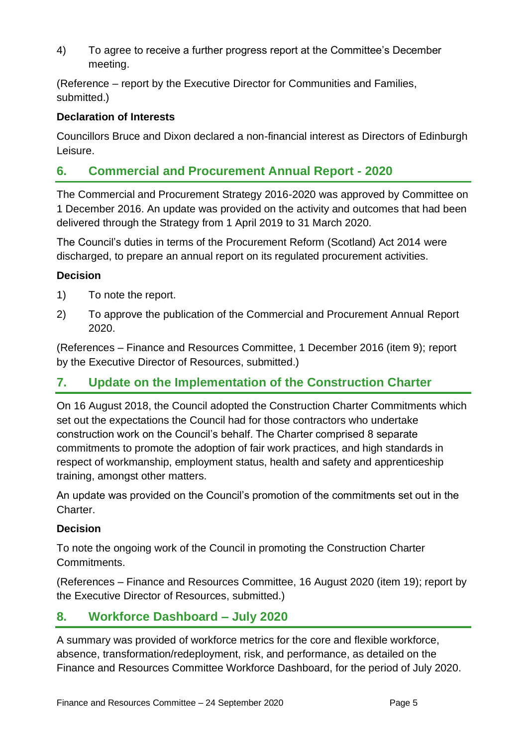4) To agree to receive a further progress report at the Committee's December meeting.

(Reference – report by the Executive Director for Communities and Families, submitted.)

#### **Declaration of Interests**

Councillors Bruce and Dixon declared a non-financial interest as Directors of Edinburgh Leisure.

# **6. Commercial and Procurement Annual Report - 2020**

The Commercial and Procurement Strategy 2016-2020 was approved by Committee on 1 December 2016. An update was provided on the activity and outcomes that had been delivered through the Strategy from 1 April 2019 to 31 March 2020.

The Council's duties in terms of the Procurement Reform (Scotland) Act 2014 were discharged, to prepare an annual report on its regulated procurement activities.

#### **Decision**

- 1) To note the report.
- 2) To approve the publication of the Commercial and Procurement Annual Report 2020.

(References – Finance and Resources Committee, 1 December 2016 (item 9); report by the Executive Director of Resources, submitted.)

# **7. Update on the Implementation of the Construction Charter**

On 16 August 2018, the Council adopted the Construction Charter Commitments which set out the expectations the Council had for those contractors who undertake construction work on the Council's behalf. The Charter comprised 8 separate commitments to promote the adoption of fair work practices, and high standards in respect of workmanship, employment status, health and safety and apprenticeship training, amongst other matters.

An update was provided on the Council's promotion of the commitments set out in the Charter.

#### **Decision**

To note the ongoing work of the Council in promoting the Construction Charter Commitments.

(References – Finance and Resources Committee, 16 August 2020 (item 19); report by the Executive Director of Resources, submitted.)

# **8. Workforce Dashboard – July 2020**

A summary was provided of workforce metrics for the core and flexible workforce, absence, transformation/redeployment, risk, and performance, as detailed on the Finance and Resources Committee Workforce Dashboard, for the period of July 2020.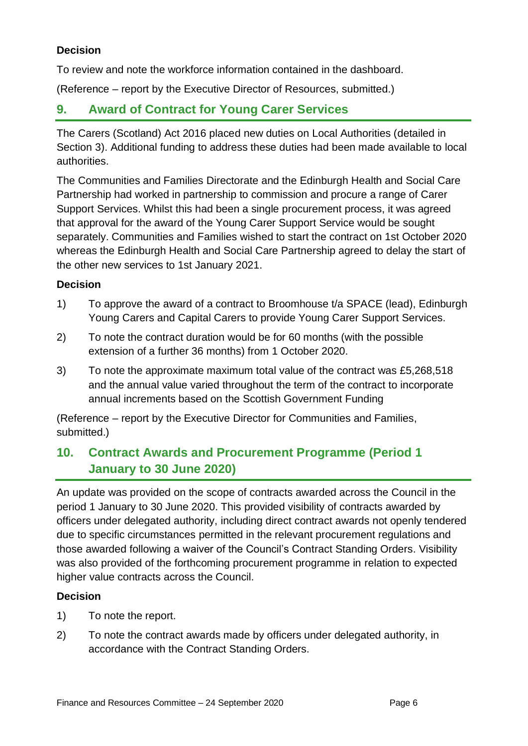#### **Decision**

To review and note the workforce information contained in the dashboard.

(Reference – report by the Executive Director of Resources, submitted.)

### **9. Award of Contract for Young Carer Services**

The Carers (Scotland) Act 2016 placed new duties on Local Authorities (detailed in Section 3). Additional funding to address these duties had been made available to local authorities.

The Communities and Families Directorate and the Edinburgh Health and Social Care Partnership had worked in partnership to commission and procure a range of Carer Support Services. Whilst this had been a single procurement process, it was agreed that approval for the award of the Young Carer Support Service would be sought separately. Communities and Families wished to start the contract on 1st October 2020 whereas the Edinburgh Health and Social Care Partnership agreed to delay the start of the other new services to 1st January 2021.

#### **Decision**

- 1) To approve the award of a contract to Broomhouse t/a SPACE (lead), Edinburgh Young Carers and Capital Carers to provide Young Carer Support Services.
- 2) To note the contract duration would be for 60 months (with the possible extension of a further 36 months) from 1 October 2020.
- 3) To note the approximate maximum total value of the contract was £5,268,518 and the annual value varied throughout the term of the contract to incorporate annual increments based on the Scottish Government Funding

(Reference – report by the Executive Director for Communities and Families, submitted.)

# **10. Contract Awards and Procurement Programme (Period 1 January to 30 June 2020)**

An update was provided on the scope of contracts awarded across the Council in the period 1 January to 30 June 2020. This provided visibility of contracts awarded by officers under delegated authority, including direct contract awards not openly tendered due to specific circumstances permitted in the relevant procurement regulations and those awarded following a waiver of the Council's Contract Standing Orders. Visibility was also provided of the forthcoming procurement programme in relation to expected higher value contracts across the Council.

#### **Decision**

- 1) To note the report.
- 2) To note the contract awards made by officers under delegated authority, in accordance with the Contract Standing Orders.